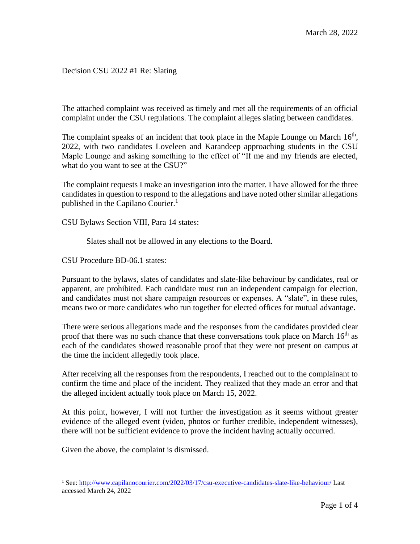Decision CSU 2022 #1 Re: Slating

The attached complaint was received as timely and met all the requirements of an official complaint under the CSU regulations. The complaint alleges slating between candidates.

The complaint speaks of an incident that took place in the Maple Lounge on March  $16<sup>th</sup>$ , 2022, with two candidates Loveleen and Karandeep approaching students in the CSU Maple Lounge and asking something to the effect of "If me and my friends are elected, what do you want to see at the CSU?"

The complaint requests I make an investigation into the matter. I have allowed for the three candidates in question to respond to the allegations and have noted other similar allegations published in the Capilano Courier.<sup>1</sup>

CSU Bylaws Section VIII, Para 14 states:

Slates shall not be allowed in any elections to the Board.

CSU Procedure BD-06.1 states:

Pursuant to the bylaws, slates of candidates and slate-like behaviour by candidates, real or apparent, are prohibited. Each candidate must run an independent campaign for election, and candidates must not share campaign resources or expenses. A "slate", in these rules, means two or more candidates who run together for elected offices for mutual advantage.

There were serious allegations made and the responses from the candidates provided clear proof that there was no such chance that these conversations took place on March  $16<sup>th</sup>$  as each of the candidates showed reasonable proof that they were not present on campus at the time the incident allegedly took place.

After receiving all the responses from the respondents, I reached out to the complainant to confirm the time and place of the incident. They realized that they made an error and that the alleged incident actually took place on March 15, 2022.

At this point, however, I will not further the investigation as it seems without greater evidence of the alleged event (video, photos or further credible, independent witnesses), there will not be sufficient evidence to prove the incident having actually occurred.

Given the above, the complaint is dismissed.

<sup>&</sup>lt;sup>1</sup> See:<http://www.capilanocourier.com/2022/03/17/csu-executive-candidates-slate-like-behaviour/> Last accessed March 24, 2022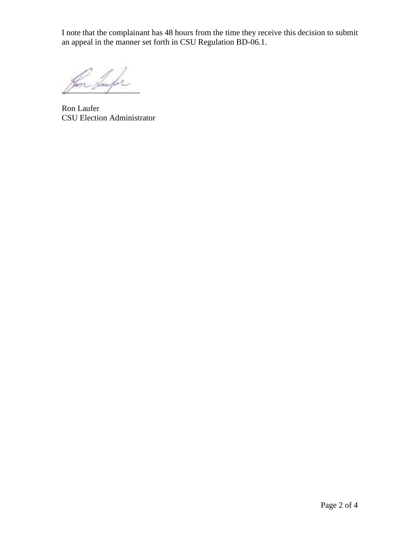I note that the complainant has 48 hours from the time they receive this decision to submit an appeal in the manner set forth in CSU Regulation BD-06.1.

Im Saufor

Ron Laufer CSU Election Administrator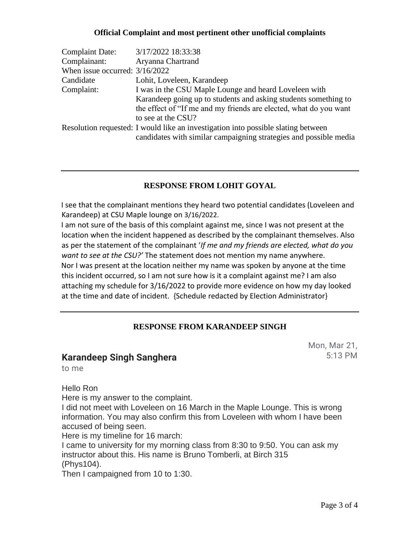### **Official Complaint and most pertinent other unofficial complaints**

| <b>Complaint Date:</b>           | 3/17/2022 18:33:38                                                                                                                                     |
|----------------------------------|--------------------------------------------------------------------------------------------------------------------------------------------------------|
| Complainant:                     | Aryanna Chartrand                                                                                                                                      |
| When issue occurred: $3/16/2022$ |                                                                                                                                                        |
| Candidate                        | Lohit, Loveleen, Karandeep                                                                                                                             |
| Complaint:                       | I was in the CSU Maple Lounge and heard Loveleen with                                                                                                  |
|                                  | Karandeep going up to students and asking students something to                                                                                        |
|                                  | the effect of "If me and my friends are elected, what do you want                                                                                      |
|                                  | to see at the CSU?                                                                                                                                     |
|                                  | Resolution requested: I would like an investigation into possible slating between<br>candidates with similar campaigning strategies and possible media |

## **RESPONSE FROM LOHIT GOYAL**

I see that the complainant mentions they heard two potential candidates (Loveleen and Karandeep) at CSU Maple lounge on 3/16/2022.

I am not sure of the basis of this complaint against me, since I was not present at the location when the incident happened as described by the complainant themselves. Also as per the statement of the complainant '*If me and my friends are elected, what do you want to see at the CSU?'* The statement does not mention my name anywhere. Nor I was present at the location neither my name was spoken by anyone at the time this incident occurred, so I am not sure how is it a complaint against me? I am also attaching my schedule for 3/16/2022 to provide more evidence on how my day looked at the time and date of incident. {Schedule redacted by Election Administrator}

## **RESPONSE FROM KARANDEEP SINGH**

## **Karandeep Singh Sanghera**

Mon, Mar 21, 5:13 PM

to me

Hello Ron

Here is my answer to the complaint.

I did not meet with Loveleen on 16 March in the Maple Lounge. This is wrong information. You may also confirm this from Loveleen with whom I have been accused of being seen.

Here is my timeline for 16 march:

I came to university for my morning class from 8:30 to 9:50. You can ask my instructor about this. His name is Bruno Tomberli, at Birch 315 (Phys104).

Then I campaigned from 10 to 1:30.